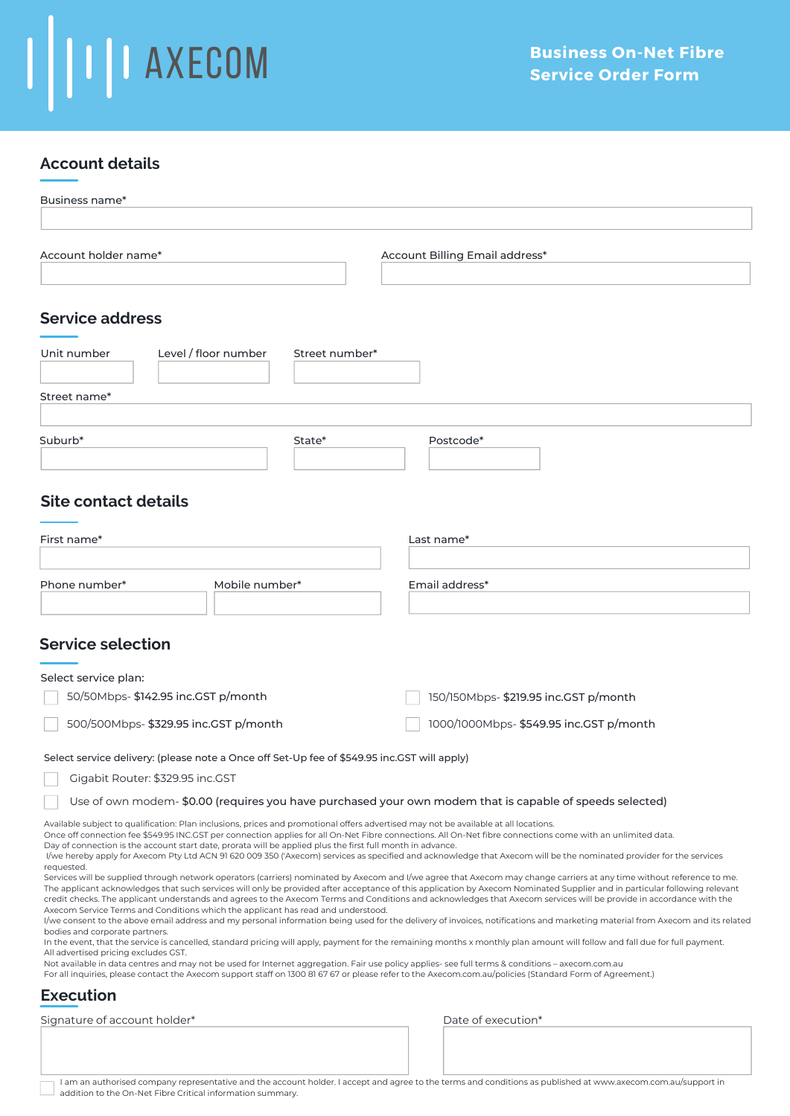## $\mathbf{I}$ **TELESCOM**

### **Account details**

| Business name*                                                                                                                                                                                                                                                                                                                                                                                                                                                                                                                     |                |  |                                                                                                                                                                                                                                                                                                                                                                                                                                                                                                                                    |  |  |  |
|------------------------------------------------------------------------------------------------------------------------------------------------------------------------------------------------------------------------------------------------------------------------------------------------------------------------------------------------------------------------------------------------------------------------------------------------------------------------------------------------------------------------------------|----------------|--|------------------------------------------------------------------------------------------------------------------------------------------------------------------------------------------------------------------------------------------------------------------------------------------------------------------------------------------------------------------------------------------------------------------------------------------------------------------------------------------------------------------------------------|--|--|--|
|                                                                                                                                                                                                                                                                                                                                                                                                                                                                                                                                    |                |  |                                                                                                                                                                                                                                                                                                                                                                                                                                                                                                                                    |  |  |  |
| Account holder name*                                                                                                                                                                                                                                                                                                                                                                                                                                                                                                               |                |  | Account Billing Email address*                                                                                                                                                                                                                                                                                                                                                                                                                                                                                                     |  |  |  |
|                                                                                                                                                                                                                                                                                                                                                                                                                                                                                                                                    |                |  |                                                                                                                                                                                                                                                                                                                                                                                                                                                                                                                                    |  |  |  |
| <b>Service address</b>                                                                                                                                                                                                                                                                                                                                                                                                                                                                                                             |                |  |                                                                                                                                                                                                                                                                                                                                                                                                                                                                                                                                    |  |  |  |
| Level / floor number<br>Unit number                                                                                                                                                                                                                                                                                                                                                                                                                                                                                                | Street number* |  |                                                                                                                                                                                                                                                                                                                                                                                                                                                                                                                                    |  |  |  |
| Street name*                                                                                                                                                                                                                                                                                                                                                                                                                                                                                                                       |                |  |                                                                                                                                                                                                                                                                                                                                                                                                                                                                                                                                    |  |  |  |
|                                                                                                                                                                                                                                                                                                                                                                                                                                                                                                                                    |                |  |                                                                                                                                                                                                                                                                                                                                                                                                                                                                                                                                    |  |  |  |
| State*<br>Suburb*                                                                                                                                                                                                                                                                                                                                                                                                                                                                                                                  |                |  | Postcode*                                                                                                                                                                                                                                                                                                                                                                                                                                                                                                                          |  |  |  |
| <b>Site contact details</b>                                                                                                                                                                                                                                                                                                                                                                                                                                                                                                        |                |  |                                                                                                                                                                                                                                                                                                                                                                                                                                                                                                                                    |  |  |  |
| First name*                                                                                                                                                                                                                                                                                                                                                                                                                                                                                                                        |                |  | Last name*                                                                                                                                                                                                                                                                                                                                                                                                                                                                                                                         |  |  |  |
| Phone number*<br>Mobile number*                                                                                                                                                                                                                                                                                                                                                                                                                                                                                                    |                |  | Email address*                                                                                                                                                                                                                                                                                                                                                                                                                                                                                                                     |  |  |  |
| <b>Service selection</b><br>Select service plan:                                                                                                                                                                                                                                                                                                                                                                                                                                                                                   |                |  |                                                                                                                                                                                                                                                                                                                                                                                                                                                                                                                                    |  |  |  |
| 50/50Mbps- \$142.95 inc.GST p/month                                                                                                                                                                                                                                                                                                                                                                                                                                                                                                |                |  | 150/150Mbps- \$219.95 inc.GST p/month                                                                                                                                                                                                                                                                                                                                                                                                                                                                                              |  |  |  |
| 500/500Mbps- \$329.95 inc.GST p/month                                                                                                                                                                                                                                                                                                                                                                                                                                                                                              |                |  | 1000/1000Mbps- \$549.95 inc.GST p/month                                                                                                                                                                                                                                                                                                                                                                                                                                                                                            |  |  |  |
| Select service delivery: (please note a Once off Set-Up fee of \$549.95 inc.GST will apply)                                                                                                                                                                                                                                                                                                                                                                                                                                        |                |  |                                                                                                                                                                                                                                                                                                                                                                                                                                                                                                                                    |  |  |  |
| Gigabit Router: \$329.95 inc.GST                                                                                                                                                                                                                                                                                                                                                                                                                                                                                                   |                |  |                                                                                                                                                                                                                                                                                                                                                                                                                                                                                                                                    |  |  |  |
| Use of own modem-\$0.00 (requires you have purchased your own modem that is capable of speeds selected)                                                                                                                                                                                                                                                                                                                                                                                                                            |                |  |                                                                                                                                                                                                                                                                                                                                                                                                                                                                                                                                    |  |  |  |
| Available subject to qualification: Plan inclusions, prices and promotional offers advertised may not be available at all locations.<br>Once off connection fee \$549.95 INC.GST per connection applies for all On-Net Fibre connections. All On-Net fibre connections come with an unlimited data.<br>Day of connection is the account start date, prorata will be applied plus the first full month in advance.<br>requested.                                                                                                    |                |  | I/we hereby apply for Axecom Pty Ltd ACN 91 620 009 350 ('Axecom) services as specified and acknowledge that Axecom will be the nominated provider for the services<br>Services will be supplied through network operators (carriers) nominated by Axecom and I/we agree that Axecom may change carriers at any time without reference to me.                                                                                                                                                                                      |  |  |  |
| Axecom Service Terms and Conditions which the applicant has read and understood.<br>bodies and corporate partners.                                                                                                                                                                                                                                                                                                                                                                                                                 |                |  | The applicant acknowledges that such services will only be provided after acceptance of this application by Axecom Nominated Supplier and in particular following relevant<br>credit checks. The applicant understands and agrees to the Axecom Terms and Conditions and acknowledges that Axecom services will be provide in accordance with the<br>l/we consent to the above email address and my personal information being used for the delivery of invoices, notifications and marketing material from Axecom and its related |  |  |  |
| In the event, that the service is cancelled, standard pricing will apply, payment for the remaining months x monthly plan amount will follow and fall due for full payment.<br>All advertised pricing excludes GST.<br>Not available in data centres and may not be used for Internet aggregation. Fair use policy applies- see full terms & conditions - axecom.com.au<br>For all inquiries, please contact the Axecom support staff on 1300 81 67 67 or please refer to the Axecom.com.au/policies (Standard Form of Agreement.) |                |  |                                                                                                                                                                                                                                                                                                                                                                                                                                                                                                                                    |  |  |  |
| <b>Execution</b>                                                                                                                                                                                                                                                                                                                                                                                                                                                                                                                   |                |  |                                                                                                                                                                                                                                                                                                                                                                                                                                                                                                                                    |  |  |  |
| Signature of account holder*                                                                                                                                                                                                                                                                                                                                                                                                                                                                                                       |                |  | Date of execution*                                                                                                                                                                                                                                                                                                                                                                                                                                                                                                                 |  |  |  |
|                                                                                                                                                                                                                                                                                                                                                                                                                                                                                                                                    |                |  |                                                                                                                                                                                                                                                                                                                                                                                                                                                                                                                                    |  |  |  |

I am an authorised company representative and the account holder. I accept and agree to the terms and conditions as published at www.axecom.com.au/support in addition to the On-Net Fibre Critical information summary.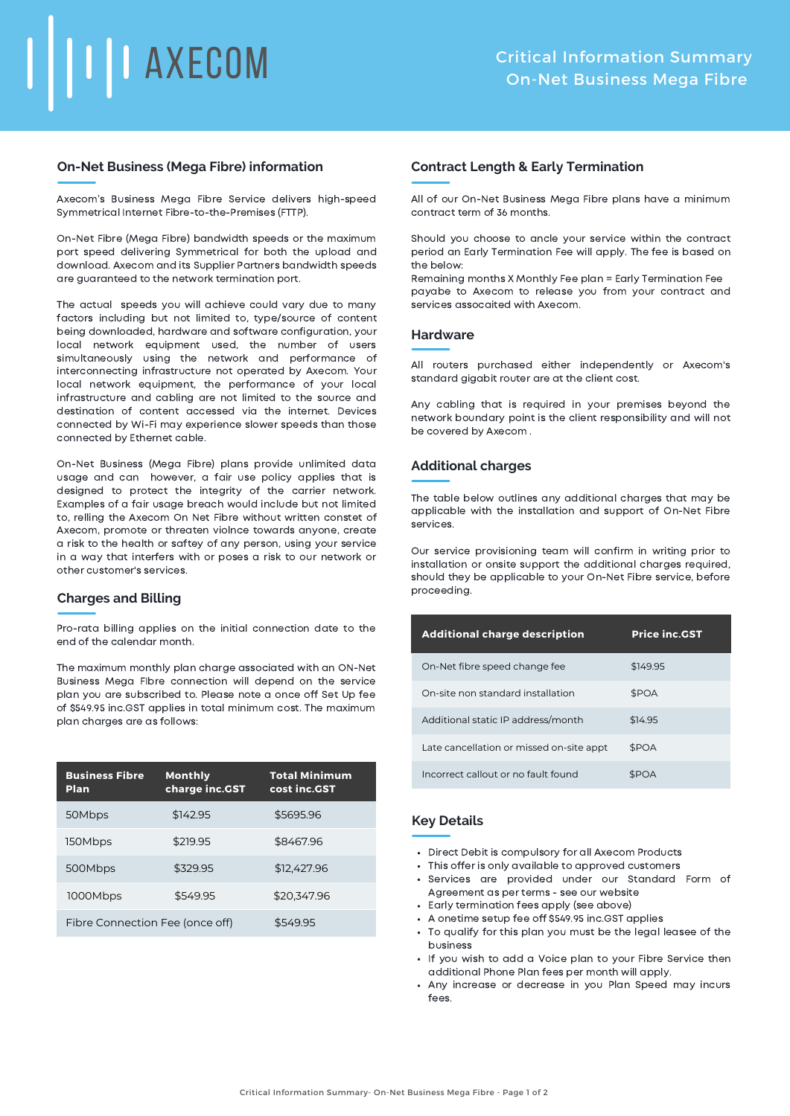# **II** AXECOM

#### **On-Net Business (Mega Fibre) information**

Axecom's Business Mega Fibre Service delivers high-speed Symmetrical Internet Fibre-to-the-Premises (FTTP).

On-Net Fibre (Mega Fibre) bandwidth speeds or the maximum port speed delivering Symmetrical for both the upload and download. Axecom and its Supplier Partners bandwidth speeds are guaranteed to the network termination port.

The actual speeds you will achieve could vary due to many factors including but not limited to, type/source of content being downloaded, hardware and software configuration, your local network equipment used, the number of users simultaneously using the network and performance of interconnecting infrastructure not operated by Axecom. Your local network equipment, the performance of your local infrastructure and cabling are not limited to the source and destination of content accessed via the internet. Devices connected by Wi-Fi may experience slower speeds than those connected by Ethernet cable.

On-Net Business (Mega Fibre) plans provide unlimited data usage and can however, a fair use policy applies that is designed to protect the integrity of the carrier network. Examples of a fair usage breach would include but not limited to, relling the Axecom On Net Fibre without written constet of Axecom, promote or threaten violnce towards anyone, create a risk to the health or saftey of any person, using your service in a way that interfers with or poses a risk to our network or other customer's services.

#### **Charges and Billing**

Pro-rata billing applies on the initial connection date to the end of the calendar month.

The maximum monthly plan charge associated with an ON-Net Business Mega FIbre connection will depend on the service plan you are subscribed to. Please note a once off Set Up fee of \$549.95 inc.GST applies in total minimum cost. The maximum plan charges are as follows:

| <b>Business Fibre</b><br>Plan   | <b>Monthly</b><br>charge inc.GST | <b>Total Minimum</b><br>cost inc.GST |
|---------------------------------|----------------------------------|--------------------------------------|
| 50Mbps                          | \$142.95                         | \$5695.96                            |
| 150Mbps                         | \$219.95                         | \$8467.96                            |
| 500Mbps                         | \$329.95                         | \$12,427.96                          |
| 1000Mbps                        | \$549.95                         | \$20,347.96                          |
| Fibre Connection Fee (once off) |                                  | \$549.95                             |

#### **Contract Length & Early Termination**

All of our On-Net Business Mega Fibre plans have a minimum contract term of 36 months.

Should you choose to ancle your service within the contract period an Early Termination Fee will apply. The fee is based on the below:

Remaining months X Monthly Fee plan = Early Termination Fee payabe to Axecom to release you from your contract and services assocaited with Axecom.

#### **Hardware**

All routers purchased either independently or Axecom's standard gigabit router are at the client cost.

Any cabling that is required in your premises beyond the network boundary point is the client responsibility and will not be covered by Axecom .

#### **Additional charges**

The table below outlines any additional charges that may be applicable with the installation and support of On-Net Fibre services.

Our service provisioning team will confirm in writing prior to installation or onsite support the additional charges required, should they be applicable to your On-Net Fibre service, before proceeding.

| <b>Additional charge description</b>     | <b>Price inc.GST</b> |
|------------------------------------------|----------------------|
| On-Net fibre speed change fee            | \$149.95             |
| On-site non standard installation        | \$POA                |
| Additional static IP address/month       | \$14.95              |
| Late cancellation or missed on-site appt | \$POA                |
| Incorrect callout or no fault found      | <b>SPOA</b>          |

#### **Key Details**

- Direct Debit is compulsory for all Axecom Products
- This offer is only available to approved customers
- Services are provided under our Standard Form of Agreement as per terms - see our website
- Early termination fees apply (see above)
- A onetime setup fee off \$549.95 inc.GST applies
- To qualify for this plan you must be the legal leasee of the business
- If you wish to add a Voice plan to your Fibre Service then additional Phone Plan fees per month will apply.
- Any increase or decrease in you Plan Speed may incurs fees.